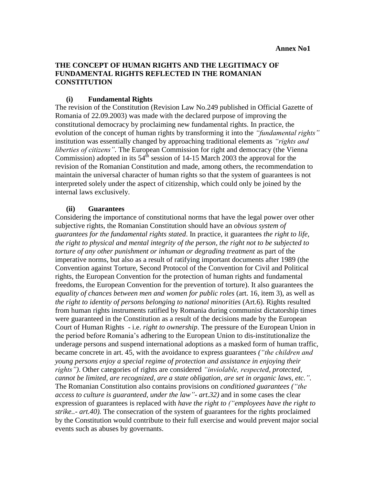# **THE CONCEPT OF HUMAN RIGHTS AND THE LEGITIMACY OF FUNDAMENTAL RIGHTS REFLECTED IN THE ROMANIAN CONSTITUTION**

## **(i) Fundamental Rights**

The revision of the Constitution (Revision Law No.249 published in Official Gazette of Romania of 22.09.2003) was made with the declared purpose of improving the constitutional democracy by proclaiming new fundamental rights. In practice, the evolution of the concept of human rights by transforming it into the *"fundamental rights"* institution was essentially changed by approaching traditional elements as *"rights and liberties of citizens".* The European Commission for right and democracy (the Vienna Commission) adopted in its  $54<sup>th</sup>$  session of 14-15 March 2003 the approval for the revision of the Romanian Constitution and made, among others, the recommendation to maintain the universal character of human rights so that the system of guarantees is not interpreted solely under the aspect of citizenship, which could only be joined by the internal laws exclusively.

## **(ii) Guarantees**

Considering the importance of constitutional norms that have the legal power over other subjective rights, the Romanian Constitution should have an *obvious system of guarantees for the fundamental rights stated*. In practice, it guarantees *the right to life, the right to physical and mental integrity of the person, the right not to be subjected to torture of any other punishment or inhuman or degrading treatment* as part of the imperative norms, but also as a result of ratifying important documents after 1989 (the Convention against Torture, Second Protocol of the Convention for Civil and Political rights, the European Convention for the protection of human rights and fundamental freedoms, the European Convention for the prevention of torture). It also guarantees the *equality of chances between men and women for public roles* (art. 16, item 3), as well as *the right to identity of persons belonging to national minorities* (Art.6). Rights resulted from human rights instruments ratified by Romania during communist dictatorship times were guaranteed in the Constitution as a result of the decisions made by the European Court of Human Rights - i.e. *right to ownership*. The pressure of the European Union in the period before Romania's adhering to the European Union to dis-institutionalize the underage persons and suspend international adoptions as a masked form of human traffic, became concrete in art. 45, with the avoidance to express guarantees *("the children and young persons enjoy a special regime of protection and assistance in enjoying their rights")*. Other categories of rights are considered *"inviolable, respected, protected, cannot be limited, are recognized, are a state obligation, are set in organic laws, etc.".*  The Romanian Constitution also contains provisions on *conditioned guarantees ("the access to culture is guaranteed, under the law"- art.32)* and in some cases the clear expression of guarantees is replaced with *have the right to ("employees have the right to strike..- art.40).* The consecration of the system of guarantees for the rights proclaimed by the Constitution would contribute to their full exercise and would prevent major social events such as abuses by governants.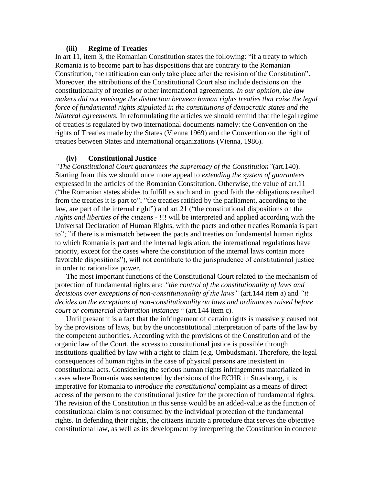#### **(iii) Regime of Treaties**

In art 11, item 3, the Romanian Constitution states the following: "if a treaty to which Romania is to become part to has dispositions that are contrary to the Romanian Constitution, the ratification can only take place after the revision of the Constitution". Moreover, the attributions of the Constitutional Court also include decisions on the constitutionality of treaties or other international agreements. *In our opinion, the law makers did not envisage the distinction between human rights treaties that raise the legal force of fundamental rights stipulated in the constitutions of democratic states and the bilateral agreements.* In reformulating the articles we should remind that the legal regime of treaties is regulated by two international documents namely: the Convention on the rights of Treaties made by the States (Vienna 1969) and the Convention on the right of treaties between States and international organizations (Vienna, 1986).

#### **(iv) Constitutional Justice**

*"The Constitutional Court guarantees the supremacy of the Constitution"*(art.140). Starting from this we should once more appeal to *extending the system of guarantees*  expressed in the articles of the Romanian Constitution. Otherwise, the value of art.11 ("the Romanian states abides to fulfill as such and in good faith the obligations resulted from the treaties it is part to"; "the treaties ratified by the parliament, according to the law, are part of the internal right") and art.21 ("the constitutional dispositions on the *rights and liberties of the citizens* - !!! will be interpreted and applied according with the Universal Declaration of Human Rights, with the pacts and other treaties Romania is part to"; "if there is a mismatch between the pacts and treaties on fundamental human rights to which Romania is part and the internal legislation, the international regulations have priority, except for the cases where the constitution of the internal laws contain more favorable dispositions"), will not contribute to the jurisprudence of constitutional justice in order to rationalize power.

The most important functions of the Constitutional Court related to the mechanism of protection of fundamental rights are: *"the control of the constitutionality of laws and decisions over exceptions of non-constitutionality of the laws"* (art.144 item a) and *"it decides on the exceptions of non-constitutionality on laws and ordinances raised before court or commercial arbitration instances* " (art.144 item c).

Until present it is a fact that the infringement of certain rights is massively caused not by the provisions of laws, but by the unconstitutional interpretation of parts of the law by the competent authorities. According with the provisions of the Constitution and of the organic law of the Court, the access to constitutional justice is possible through institutions qualified by law with a right to claim (e.g. Ombudsman). Therefore, the legal consequences of human rights in the case of physical persons are inexistent in constitutional acts. Considering the serious human rights infringements materialized in cases where Romania was sentenced by decisions of the ECHR in Strasbourg, it is imperative for Romania to *introduce the constitutional* complaint as a means of direct access of the person to the constitutional justice for the protection of fundamental rights. The revision of the Constitution in this sense would be an added-value as the function of constitutional claim is not consumed by the individual protection of the fundamental rights. In defending their rights, the citizens initiate a procedure that serves the objective constitutional law, as well as its development by interpreting the Constitution in concrete